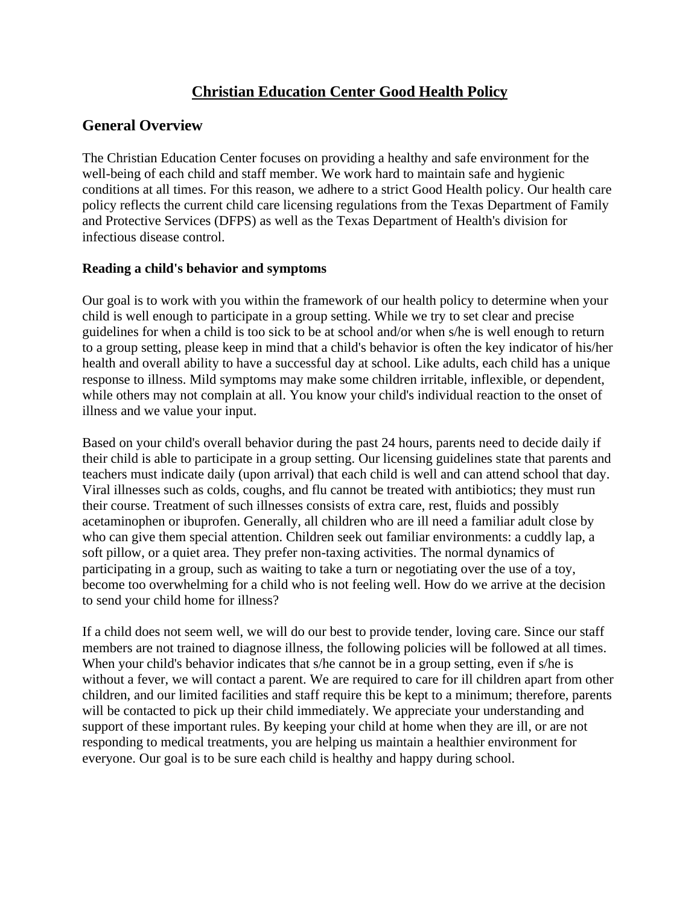# **Christian Education Center Good Health Policy**

#### **General Overview**

The Christian Education Center focuses on providing a healthy and safe environment for the well-being of each child and staff member. We work hard to maintain safe and hygienic conditions at all times. For this reason, we adhere to a strict Good Health policy. Our health care policy reflects the current child care licensing regulations from the Texas Department of Family and Protective Services (DFPS) as well as the Texas Department of Health's division for infectious disease control.

#### **Reading a child's behavior and symptoms**

Our goal is to work with you within the framework of our health policy to determine when your child is well enough to participate in a group setting. While we try to set clear and precise guidelines for when a child is too sick to be at school and/or when s/he is well enough to return to a group setting, please keep in mind that a child's behavior is often the key indicator of his/her health and overall ability to have a successful day at school. Like adults, each child has a unique response to illness. Mild symptoms may make some children irritable, inflexible, or dependent, while others may not complain at all. You know your child's individual reaction to the onset of illness and we value your input.

Based on your child's overall behavior during the past 24 hours, parents need to decide daily if their child is able to participate in a group setting. Our licensing guidelines state that parents and teachers must indicate daily (upon arrival) that each child is well and can attend school that day. Viral illnesses such as colds, coughs, and flu cannot be treated with antibiotics; they must run their course. Treatment of such illnesses consists of extra care, rest, fluids and possibly acetaminophen or ibuprofen. Generally, all children who are ill need a familiar adult close by who can give them special attention. Children seek out familiar environments: a cuddly lap, a soft pillow, or a quiet area. They prefer non-taxing activities. The normal dynamics of participating in a group, such as waiting to take a turn or negotiating over the use of a toy, become too overwhelming for a child who is not feeling well. How do we arrive at the decision to send your child home for illness?

If a child does not seem well, we will do our best to provide tender, loving care. Since our staff members are not trained to diagnose illness, the following policies will be followed at all times. When your child's behavior indicates that s/he cannot be in a group setting, even if s/he is without a fever, we will contact a parent. We are required to care for ill children apart from other children, and our limited facilities and staff require this be kept to a minimum; therefore, parents will be contacted to pick up their child immediately. We appreciate your understanding and support of these important rules. By keeping your child at home when they are ill, or are not responding to medical treatments, you are helping us maintain a healthier environment for everyone. Our goal is to be sure each child is healthy and happy during school.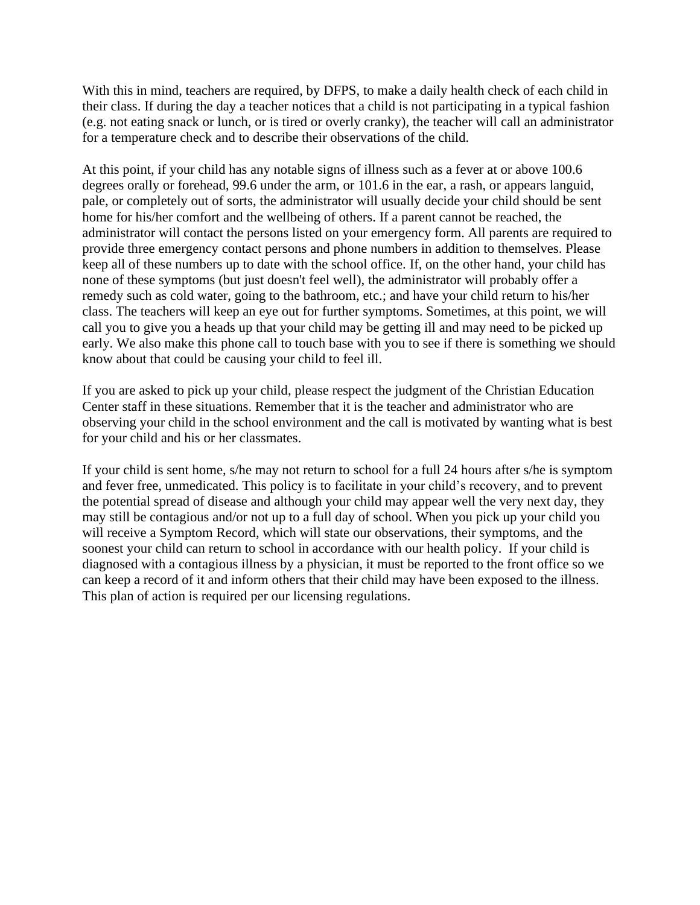With this in mind, teachers are required, by DFPS, to make a daily health check of each child in their class. If during the day a teacher notices that a child is not participating in a typical fashion (e.g. not eating snack or lunch, or is tired or overly cranky), the teacher will call an administrator for a temperature check and to describe their observations of the child.

At this point, if your child has any notable signs of illness such as a fever at or above 100.6 degrees orally or forehead, 99.6 under the arm, or 101.6 in the ear, a rash, or appears languid, pale, or completely out of sorts, the administrator will usually decide your child should be sent home for his/her comfort and the wellbeing of others. If a parent cannot be reached, the administrator will contact the persons listed on your emergency form. All parents are required to provide three emergency contact persons and phone numbers in addition to themselves. Please keep all of these numbers up to date with the school office. If, on the other hand, your child has none of these symptoms (but just doesn't feel well), the administrator will probably offer a remedy such as cold water, going to the bathroom, etc.; and have your child return to his/her class. The teachers will keep an eye out for further symptoms. Sometimes, at this point, we will call you to give you a heads up that your child may be getting ill and may need to be picked up early. We also make this phone call to touch base with you to see if there is something we should know about that could be causing your child to feel ill.

If you are asked to pick up your child, please respect the judgment of the Christian Education Center staff in these situations. Remember that it is the teacher and administrator who are observing your child in the school environment and the call is motivated by wanting what is best for your child and his or her classmates.

If your child is sent home, s/he may not return to school for a full 24 hours after s/he is symptom and fever free, unmedicated. This policy is to facilitate in your child's recovery, and to prevent the potential spread of disease and although your child may appear well the very next day, they may still be contagious and/or not up to a full day of school. When you pick up your child you will receive a Symptom Record, which will state our observations, their symptoms, and the soonest your child can return to school in accordance with our health policy. If your child is diagnosed with a contagious illness by a physician, it must be reported to the front office so we can keep a record of it and inform others that their child may have been exposed to the illness. This plan of action is required per our licensing regulations.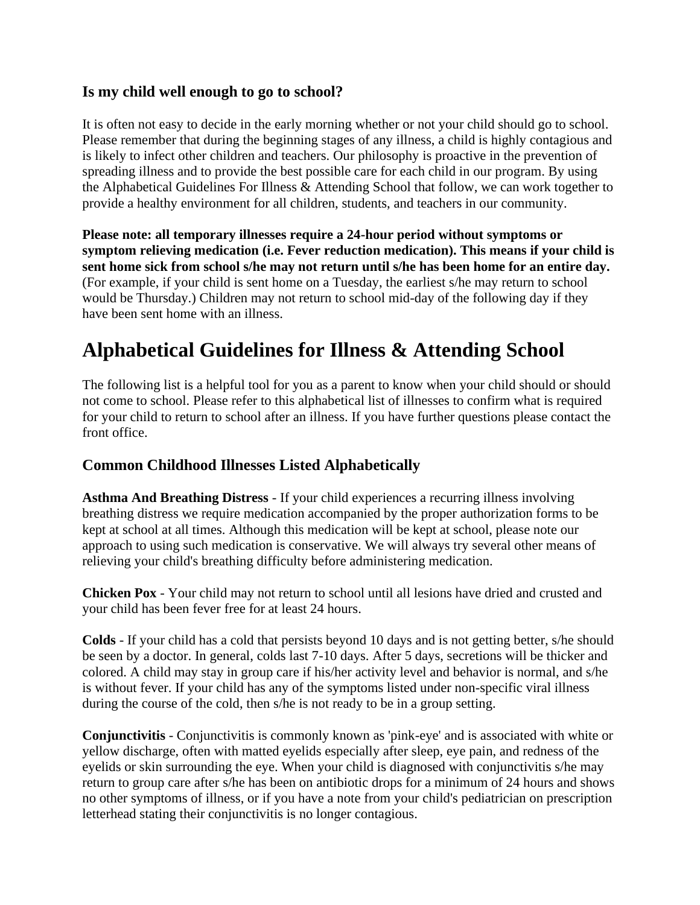### **Is my child well enough to go to school?**

It is often not easy to decide in the early morning whether or not your child should go to school. Please remember that during the beginning stages of any illness, a child is highly contagious and is likely to infect other children and teachers. Our philosophy is proactive in the prevention of spreading illness and to provide the best possible care for each child in our program. By using the Alphabetical Guidelines For Illness & Attending School that follow, we can work together to provide a healthy environment for all children, students, and teachers in our community.

**Please note: all temporary illnesses require a 24-hour period without symptoms or symptom relieving medication (i.e. Fever reduction medication). This means if your child is sent home sick from school s/he may not return until s/he has been home for an entire day.** (For example, if your child is sent home on a Tuesday, the earliest s/he may return to school would be Thursday.) Children may not return to school mid-day of the following day if they have been sent home with an illness.

# **Alphabetical Guidelines for Illness & Attending School**

The following list is a helpful tool for you as a parent to know when your child should or should not come to school. Please refer to this alphabetical list of illnesses to confirm what is required for your child to return to school after an illness. If you have further questions please contact the front office.

## **Common Childhood Illnesses Listed Alphabetically**

**Asthma And Breathing Distress** - If your child experiences a recurring illness involving breathing distress we require medication accompanied by the proper authorization forms to be kept at school at all times. Although this medication will be kept at school, please note our approach to using such medication is conservative. We will always try several other means of relieving your child's breathing difficulty before administering medication.

**Chicken Pox** - Your child may not return to school until all lesions have dried and crusted and your child has been fever free for at least 24 hours.

**Colds** - If your child has a cold that persists beyond 10 days and is not getting better, s/he should be seen by a doctor. In general, colds last 7-10 days. After 5 days, secretions will be thicker and colored. A child may stay in group care if his/her activity level and behavior is normal, and s/he is without fever. If your child has any of the symptoms listed under non-specific viral illness during the course of the cold, then s/he is not ready to be in a group setting.

**Conjunctivitis** - Conjunctivitis is commonly known as 'pink-eye' and is associated with white or yellow discharge, often with matted eyelids especially after sleep, eye pain, and redness of the eyelids or skin surrounding the eye. When your child is diagnosed with conjunctivitis s/he may return to group care after s/he has been on antibiotic drops for a minimum of 24 hours and shows no other symptoms of illness, or if you have a note from your child's pediatrician on prescription letterhead stating their conjunctivitis is no longer contagious.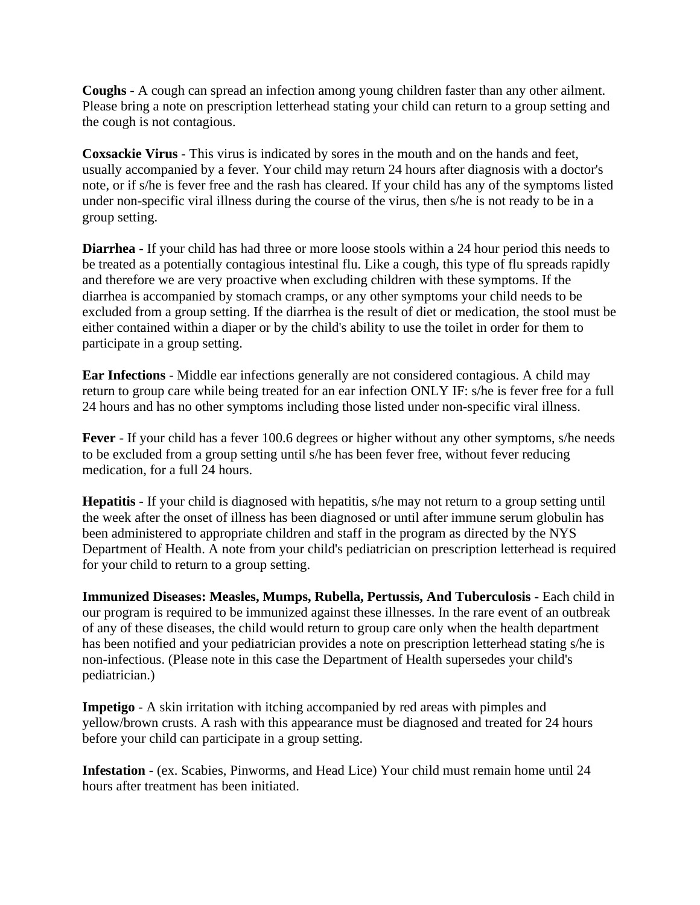**Coughs** - A cough can spread an infection among young children faster than any other ailment. Please bring a note on prescription letterhead stating your child can return to a group setting and the cough is not contagious.

**Coxsackie Virus** - This virus is indicated by sores in the mouth and on the hands and feet, usually accompanied by a fever. Your child may return 24 hours after diagnosis with a doctor's note, or if s/he is fever free and the rash has cleared. If your child has any of the symptoms listed under non-specific viral illness during the course of the virus, then s/he is not ready to be in a group setting.

**Diarrhea** - If your child has had three or more loose stools within a 24 hour period this needs to be treated as a potentially contagious intestinal flu. Like a cough, this type of flu spreads rapidly and therefore we are very proactive when excluding children with these symptoms. If the diarrhea is accompanied by stomach cramps, or any other symptoms your child needs to be excluded from a group setting. If the diarrhea is the result of diet or medication, the stool must be either contained within a diaper or by the child's ability to use the toilet in order for them to participate in a group setting.

**Ear Infections** - Middle ear infections generally are not considered contagious. A child may return to group care while being treated for an ear infection ONLY IF: s/he is fever free for a full 24 hours and has no other symptoms including those listed under non-specific viral illness.

**Fever** - If your child has a fever 100.6 degrees or higher without any other symptoms, s/he needs to be excluded from a group setting until s/he has been fever free, without fever reducing medication, for a full 24 hours.

**Hepatitis** - If your child is diagnosed with hepatitis, s/he may not return to a group setting until the week after the onset of illness has been diagnosed or until after immune serum globulin has been administered to appropriate children and staff in the program as directed by the NYS Department of Health. A note from your child's pediatrician on prescription letterhead is required for your child to return to a group setting.

**Immunized Diseases: Measles, Mumps, Rubella, Pertussis, And Tuberculosis** - Each child in our program is required to be immunized against these illnesses. In the rare event of an outbreak of any of these diseases, the child would return to group care only when the health department has been notified and your pediatrician provides a note on prescription letterhead stating s/he is non-infectious. (Please note in this case the Department of Health supersedes your child's pediatrician.)

**Impetigo** - A skin irritation with itching accompanied by red areas with pimples and yellow/brown crusts. A rash with this appearance must be diagnosed and treated for 24 hours before your child can participate in a group setting.

**Infestation** - (ex. Scabies, Pinworms, and Head Lice) Your child must remain home until 24 hours after treatment has been initiated.